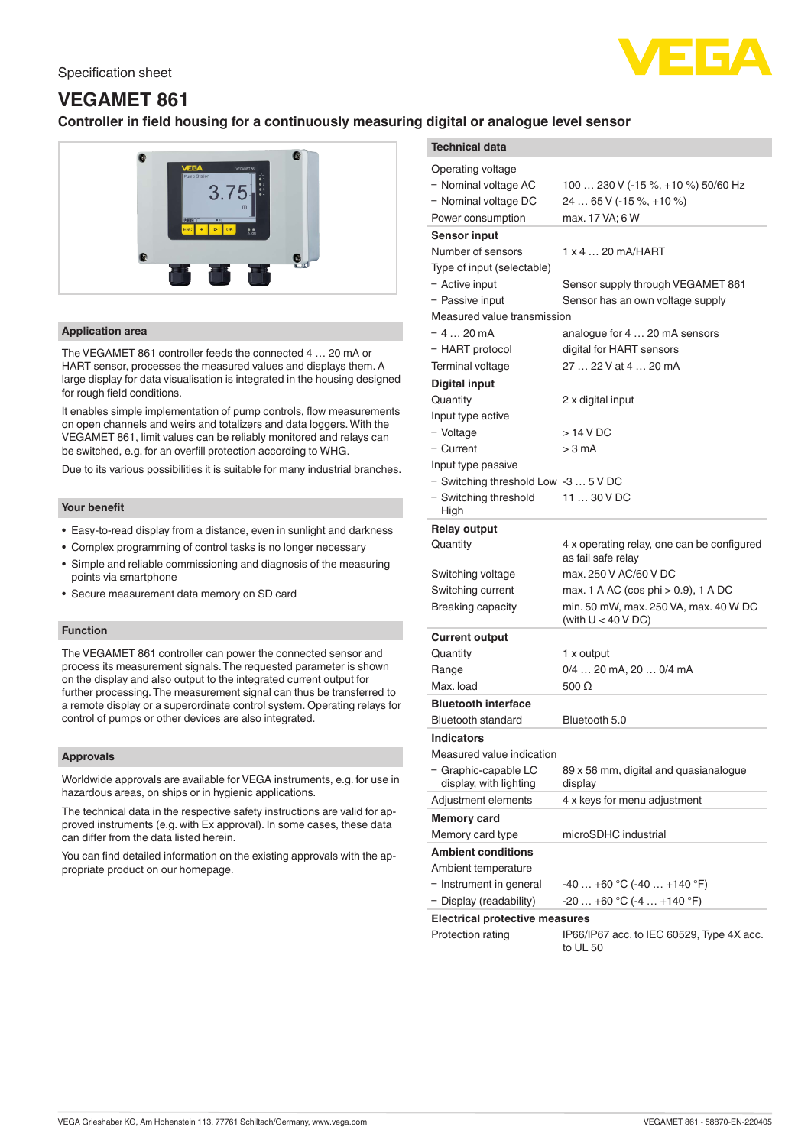

# **VEGAMET 861**

# **Controller in field housing for a continuously measuring**



# **Application area**

The VEGAMET 861 controller feeds the connected 4 … 20 mA or HART sensor, processes the measured values and displays them. A large display for data visualisation is integrated in the housing designed for rough field conditions.

It enables simple implementation of pump controls, flow measurements on open channels and weirs and totalizers and data loggers. With the VEGAMET 861, limit values can be reliably monitored and relays can be switched, e.g. for an overfill protection according to WHG.

Due to its various possibilities it is suitable for many industrial branches.

### **Your benefit**

- Easy-to-read display from a distance, even in sunlight and darkness
- Complex programming of control tasks is no longer necessary
- Simple and reliable commissioning and diagnosis of the measuring points via smartphone
- Secure measurement data memory on SD card

# **Function**

The VEGAMET 861 controller can power the connected sensor and process its measurement signals. The requested parameter is shown on the display and also output to the integrated current output for further processing. The measurement signal can thus be transferred to a remote display or a superordinate control system. Operating relays for control of pumps or other devices are also integrated.

#### **Approvals**

Worldwide approvals are available for VEGA instruments, e.g. for use in hazardous areas, on ships or in hygienic applications.

The technical data in the respective safety instructions are valid for approved instruments (e.g. with Ex approval). In some cases, these data can differ from the data listed herein.

You can find detailed information on the existing approvals with the appropriate product on our homepage.

| <b>Technical data</b>                 |                                                                  |
|---------------------------------------|------------------------------------------------------------------|
|                                       |                                                                  |
| Operating voltage                     |                                                                  |
| - Nominal voltage AC                  | 100  230 V (-15 %, +10 %) 50/60 Hz                               |
| - Nominal voltage DC                  | 24  65 V (-15 %, +10 %)                                          |
| Power consumption                     | max. 17 VA; 6 W                                                  |
| <b>Sensor input</b>                   |                                                                  |
| Number of sensors                     | $1 \times 4$ 20 mA/HART                                          |
| Type of input (selectable)            |                                                                  |
| - Active input                        | Sensor supply through VEGAMET 861                                |
| - Passive input                       | Sensor has an own voltage supply                                 |
| Measured value transmission           |                                                                  |
| – 4  20 mA                            | analogue for 4  20 mA sensors                                    |
| - HART protocol                       | digital for HART sensors                                         |
| Terminal voltage                      | 27  22 V at 4  20 mA                                             |
| <b>Digital input</b>                  |                                                                  |
| Quantity                              | 2 x digital input                                                |
| Input type active                     |                                                                  |
| - Voltage                             | $>14$ V DC                                                       |
| - Current                             | > 3 mA                                                           |
| Input type passive                    |                                                                  |
| - Switching threshold Low -3  5 V DC  |                                                                  |
| - Switching threshold<br>High         | 11  30 V DC                                                      |
| <b>Relay output</b>                   |                                                                  |
| Quantity                              | 4 x operating relay, one can be configured<br>as fail safe relay |
| Switching voltage                     | max. 250 V AC/60 V DC                                            |
| Switching current                     | max. 1 A AC (cos phi > 0.9), 1 A DC                              |
| <b>Breaking capacity</b>              | min. 50 mW, max. 250 VA, max. 40 W DC<br>(with $U < 40 VDC$ )    |
| <b>Current output</b>                 |                                                                  |
| Quantity                              | 1 x output                                                       |
| Range                                 | 0/4  20 mA, 20  0/4 mA                                           |
| Max. load                             | 500 $\Omega$                                                     |
| <b>Bluetooth interface</b>            |                                                                  |
| Bluetooth standard                    | Bluetooth 5.0                                                    |
| <b>Indicators</b>                     |                                                                  |
| Measured value indication             |                                                                  |
| - Graphic-capable LC                  | 89 x 56 mm, digital and quasianalogue                            |
| display, with lighting                | display                                                          |
| Adjustment elements                   | 4 x keys for menu adjustment                                     |
| <b>Memory card</b>                    |                                                                  |
| Memory card type                      | microSDHC industrial                                             |
| <b>Ambient conditions</b>             |                                                                  |
| Ambient temperature                   |                                                                  |
| - Instrument in general               | $-40+60$ °C ( $-40+140$ °F)                                      |
| - Display (readability)               | $-20+60$ °C $(-4+140$ °F)                                        |
| <b>Electrical protective measures</b> |                                                                  |
| Protection rating                     | IP66/IP67 acc. to IEC 60529, Type 4X acc.                        |

to UL 50